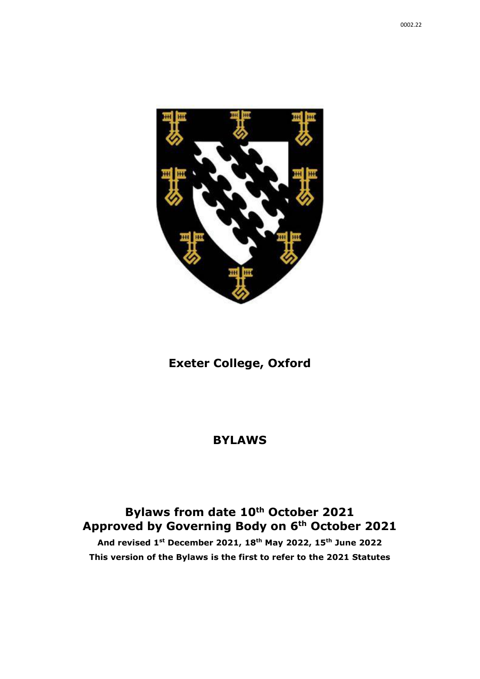

# **Exeter College, Oxford**

## **BYLAWS**

# **Bylaws from date 10th October 2021 Approved by Governing Body on 6th October 2021**

**And revised 1st December 2021, 18th May 2022, 15th June 2022 This version of the Bylaws is the first to refer to the 2021 Statutes**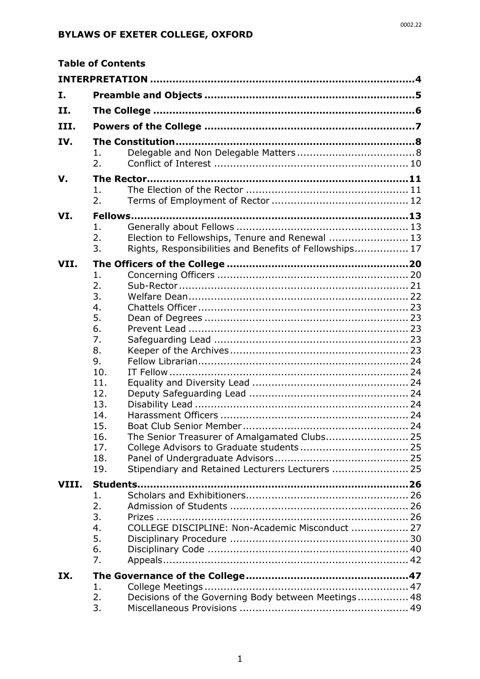|       | <b>Table of Contents</b> |                                                                                                            |  |
|-------|--------------------------|------------------------------------------------------------------------------------------------------------|--|
|       |                          |                                                                                                            |  |
| I.    |                          |                                                                                                            |  |
| II.   |                          |                                                                                                            |  |
| III.  |                          |                                                                                                            |  |
| IV.   |                          |                                                                                                            |  |
|       | 1.<br>2.                 |                                                                                                            |  |
| V.    |                          |                                                                                                            |  |
|       | 1.<br>2.                 |                                                                                                            |  |
| VI.   |                          |                                                                                                            |  |
|       | 1.                       |                                                                                                            |  |
|       | 2.<br>3.                 | Election to Fellowships, Tenure and Renewal  13<br>Rights, Responsibilities and Benefits of Fellowships 17 |  |
|       |                          |                                                                                                            |  |
| VII.  | 1.                       |                                                                                                            |  |
|       | 2.                       |                                                                                                            |  |
|       | 3.                       |                                                                                                            |  |
|       | 4.                       |                                                                                                            |  |
|       | 5.                       |                                                                                                            |  |
|       | 6.                       |                                                                                                            |  |
|       | 7.<br>8.                 |                                                                                                            |  |
|       | 9.                       |                                                                                                            |  |
|       | 10.                      |                                                                                                            |  |
|       | 11.                      |                                                                                                            |  |
|       | 12.                      |                                                                                                            |  |
|       | 13.                      |                                                                                                            |  |
|       | 14.<br>15.               |                                                                                                            |  |
|       | 16.                      | The Senior Treasurer of Amalgamated Clubs 25                                                               |  |
|       | 17.                      |                                                                                                            |  |
|       | 18.                      |                                                                                                            |  |
|       | 19.                      | Stipendiary and Retained Lecturers Lecturers  25                                                           |  |
| VIII. | Students                 |                                                                                                            |  |
|       | 1.                       |                                                                                                            |  |
|       | 2.                       |                                                                                                            |  |
|       | 3.<br>4.                 | COLLEGE DISCIPLINE: Non-Academic Misconduct  27                                                            |  |
|       | 5.                       |                                                                                                            |  |
|       | 6.                       |                                                                                                            |  |
|       | 7.                       |                                                                                                            |  |
| IX.   |                          |                                                                                                            |  |
|       | 1.                       |                                                                                                            |  |
|       | 2.                       | Decisions of the Governing Body between Meetings 48                                                        |  |
|       | 3.                       |                                                                                                            |  |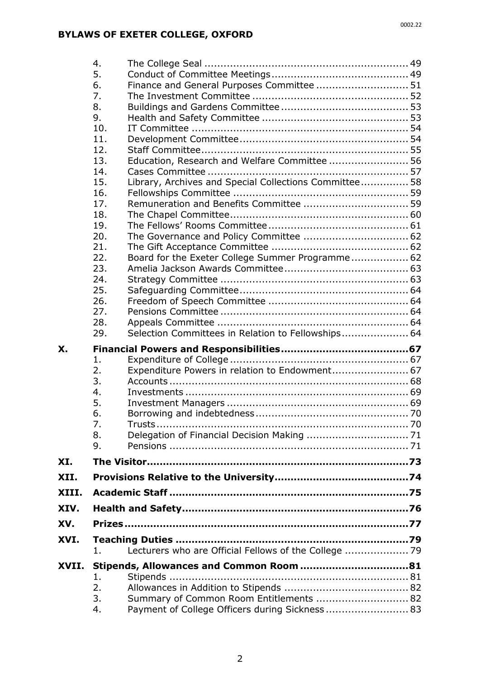|       | 4.         |                                                                                           |  |
|-------|------------|-------------------------------------------------------------------------------------------|--|
|       | 5.         |                                                                                           |  |
|       | 6.         | Finance and General Purposes Committee  51                                                |  |
|       | 7.         |                                                                                           |  |
|       | 8.         |                                                                                           |  |
|       | 9.         |                                                                                           |  |
|       | 10.        |                                                                                           |  |
|       | 11.        |                                                                                           |  |
|       | 12.        |                                                                                           |  |
|       | 13.<br>14. | Education, Research and Welfare Committee 56                                              |  |
|       | 15.        |                                                                                           |  |
|       | 16.        | Library, Archives and Special Collections Committee 58                                    |  |
|       | 17.        |                                                                                           |  |
|       | 18.        |                                                                                           |  |
|       | 19.        |                                                                                           |  |
|       | 20.        |                                                                                           |  |
|       | 21.        |                                                                                           |  |
|       | 22.        | Board for the Exeter College Summer Programme 62                                          |  |
|       | 23.        |                                                                                           |  |
|       | 24.        |                                                                                           |  |
|       | 25.        |                                                                                           |  |
|       | 26.        |                                                                                           |  |
|       | 27.        |                                                                                           |  |
|       | 28.        |                                                                                           |  |
|       | 29.        | Selection Committees in Relation to Fellowships 64                                        |  |
|       |            |                                                                                           |  |
| X.    |            |                                                                                           |  |
|       | 1.         |                                                                                           |  |
|       | 2.         | Expenditure Powers in relation to Endowment 67                                            |  |
|       | 3.         |                                                                                           |  |
|       | 4.         |                                                                                           |  |
|       | 5.         |                                                                                           |  |
|       | 6.         |                                                                                           |  |
|       | 7.         |                                                                                           |  |
|       | 8.         |                                                                                           |  |
|       | 9.         |                                                                                           |  |
| XI.   |            |                                                                                           |  |
| XII.  |            |                                                                                           |  |
| XIII. |            |                                                                                           |  |
|       |            |                                                                                           |  |
| XIV.  |            |                                                                                           |  |
| XV.   |            |                                                                                           |  |
| XVI.  |            |                                                                                           |  |
|       | 1.         | Lecturers who are Official Fellows of the College  79                                     |  |
| XVII. |            |                                                                                           |  |
|       | 1.         |                                                                                           |  |
|       | 2.         |                                                                                           |  |
|       | 3.<br>4.   | Summary of Common Room Entitlements  82<br>Payment of College Officers during Sickness 83 |  |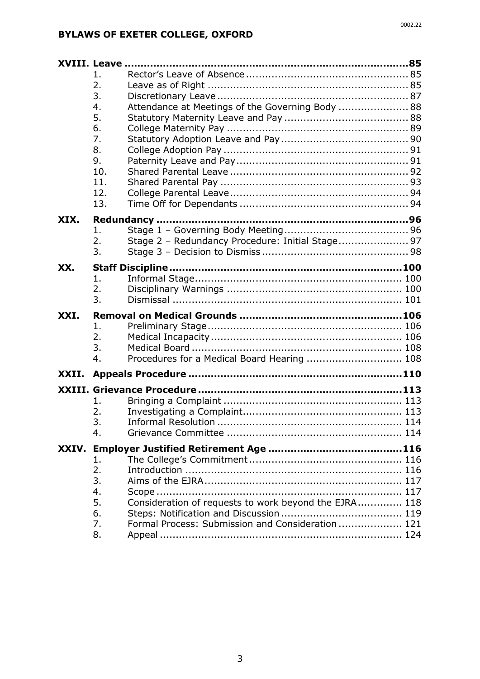## **BYLAWS OF EXETER COLLEGE, OXFORD**

|       |     | XVIII. Leave                                          |  |
|-------|-----|-------------------------------------------------------|--|
|       | 1.  |                                                       |  |
|       | 2.  |                                                       |  |
|       | 3.  |                                                       |  |
|       | 4.  | Attendance at Meetings of the Governing Body  88      |  |
|       | 5.  |                                                       |  |
|       | 6.  |                                                       |  |
|       | 7.  |                                                       |  |
|       | 8.  |                                                       |  |
|       | 9.  |                                                       |  |
|       | 10. |                                                       |  |
|       | 11. |                                                       |  |
|       | 12. |                                                       |  |
|       | 13. |                                                       |  |
| XIX.  |     |                                                       |  |
|       | 1.  |                                                       |  |
|       | 2.  | Stage 2 - Redundancy Procedure: Initial Stage 97      |  |
|       | 3.  |                                                       |  |
| XX.   |     |                                                       |  |
|       | 1.  |                                                       |  |
|       | 2.  |                                                       |  |
|       | 3.  |                                                       |  |
|       |     |                                                       |  |
| XXI.  |     |                                                       |  |
|       | 1.  |                                                       |  |
|       | 2.  |                                                       |  |
|       | 3.  |                                                       |  |
|       | 4.  | Procedures for a Medical Board Hearing  108           |  |
| XXII. |     |                                                       |  |
|       |     |                                                       |  |
|       | 1.  |                                                       |  |
|       | 2.  |                                                       |  |
|       | 3.  |                                                       |  |
|       | 4.  |                                                       |  |
|       |     |                                                       |  |
| XXIV. | 1.  |                                                       |  |
|       | 2.  |                                                       |  |
|       | 3.  |                                                       |  |
|       | 4.  |                                                       |  |
|       | 5.  | Consideration of requests to work beyond the EJRA 118 |  |
|       | 6.  |                                                       |  |
|       | 7.  | Formal Process: Submission and Consideration  121     |  |
|       | 8.  |                                                       |  |
|       |     |                                                       |  |

3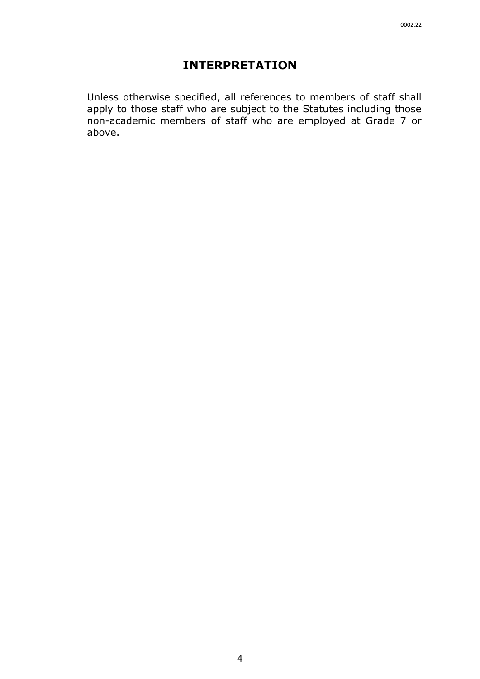## **INTERPRETATION**

<span id="page-5-0"></span>Unless otherwise specified, all references to members of staff shall apply to those staff who are subject to the Statutes including those non-academic members of staff who are employed at Grade 7 or above.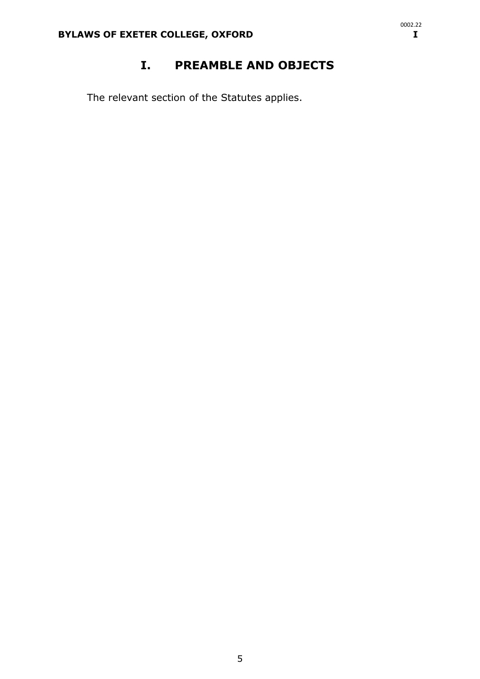# **I. PREAMBLE AND OBJECTS**

<span id="page-6-0"></span>The relevant section of the Statutes applies.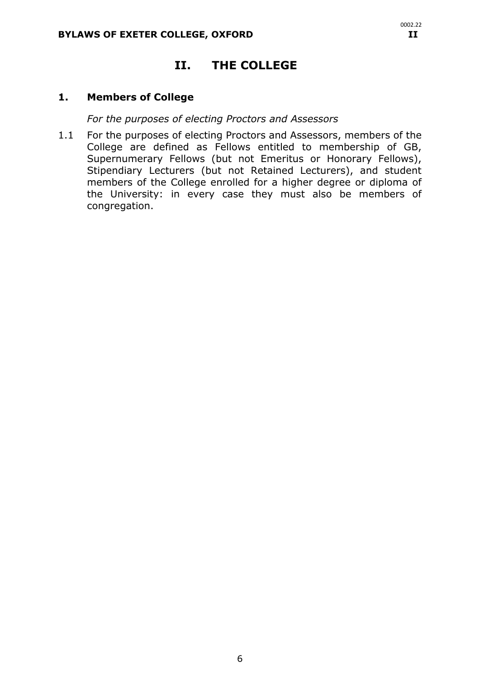# **II. THE COLLEGE**

#### <span id="page-7-0"></span>**1. Members of College**

*For the purposes of electing Proctors and Assessors*

1.1 For the purposes of electing Proctors and Assessors, members of the College are defined as Fellows entitled to membership of GB, Supernumerary Fellows (but not Emeritus or Honorary Fellows), Stipendiary Lecturers (but not Retained Lecturers), and student members of the College enrolled for a higher degree or diploma of the University: in every case they must also be members of congregation.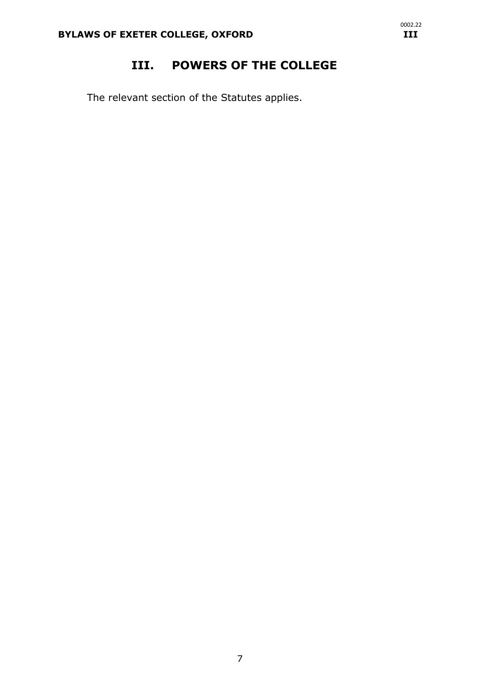<span id="page-8-0"></span>The relevant section of the Statutes applies.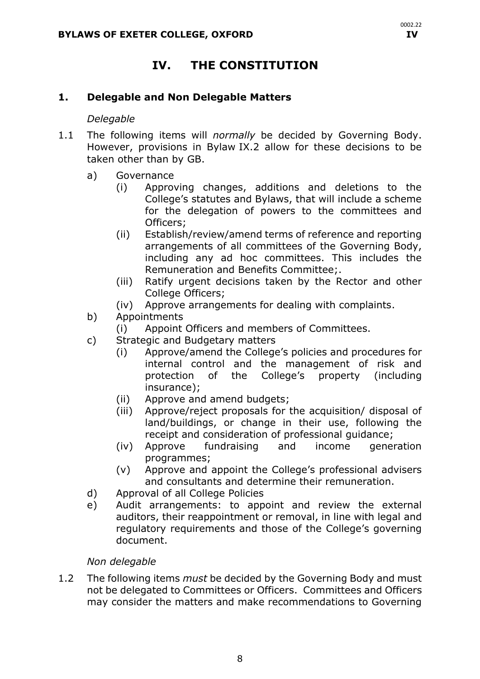## **IV. THE CONSTITUTION**

#### <span id="page-9-1"></span><span id="page-9-0"></span>**1. Delegable and Non Delegable Matters**

#### *Delegable*

- 1.1 The following items will *normally* be decided by Governing Body. However, provisions in Bylaw [IX.2](#page-49-0) allow for these decisions to be taken other than by GB.
	- a) Governance
		- (i) Approving changes, additions and deletions to the College's statutes and Bylaws, that will include a scheme for the delegation of powers to the committees and Officers;
		- (ii) Establish/review/amend terms of reference and reporting arrangements of all committees of the Governing Body, including any ad hoc committees. This includes the Remuneration and Benefits Committee;.
		- (iii) Ratify urgent decisions taken by the Rector and other College Officers;
		- (iv) Approve arrangements for dealing with complaints.
	- b) Appointments
		- (i) Appoint Officers and members of Committees.
	- c) Strategic and Budgetary matters
		- (i) Approve/amend the College's policies and procedures for internal control and the management of risk and protection of the College's property (including insurance);
		- (ii) Approve and amend budgets;
		- (iii) Approve/reject proposals for the acquisition/ disposal of land/buildings, or change in their use, following the receipt and consideration of professional guidance;
		- (iv) Approve fundraising and income generation programmes;
		- (v) Approve and appoint the College's professional advisers and consultants and determine their remuneration.
	- d) Approval of all College Policies
	- e) Audit arrangements: to appoint and review the external auditors, their reappointment or removal, in line with legal and regulatory requirements and those of the College's governing document.

#### *Non delegable*

1.2 The following items *must* be decided by the Governing Body and must not be delegated to Committees or Officers. Committees and Officers may consider the matters and make recommendations to Governing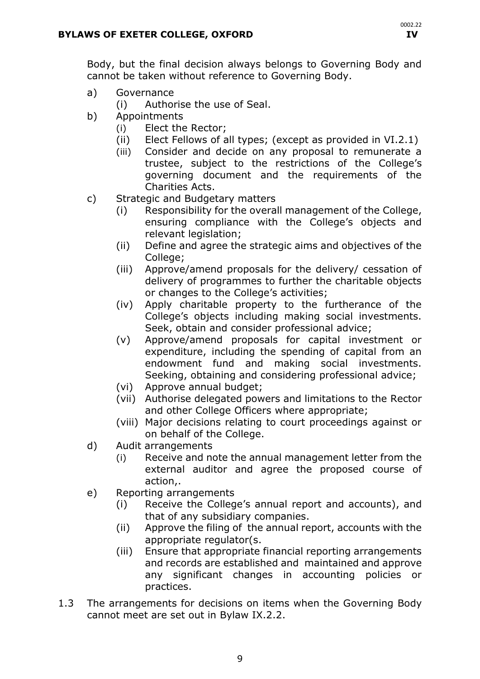- a) Governance
	- (i) Authorise the use of Seal.
- b) Appointments
	- (i) Elect the Rector;
	- (ii) Elect Fellows of all types; (except as provided in [VI.2.1\)](#page-14-3)
	- (iii) Consider and decide on any proposal to remunerate a trustee, subject to the restrictions of the College's governing document and the requirements of the Charities Acts.
- c) Strategic and Budgetary matters
	- (i) Responsibility for the overall management of the College, ensuring compliance with the College's objects and relevant legislation;
	- (ii) Define and agree the strategic aims and objectives of the College;
	- (iii) Approve/amend proposals for the delivery/ cessation of delivery of programmes to further the charitable objects or changes to the College's activities;
	- (iv) Apply charitable property to the furtherance of the College's objects including making social investments. Seek, obtain and consider professional advice;
	- (v) Approve/amend proposals for capital investment or expenditure, including the spending of capital from an endowment fund and making social investments. Seeking, obtaining and considering professional advice;
	- (vi) Approve annual budget;
	- (vii) Authorise delegated powers and limitations to the Rector and other College Officers where appropriate;
	- (viii) Major decisions relating to court proceedings against or on behalf of the College.
- d) Audit arrangements
	- (i) Receive and note the annual management letter from the external auditor and agree the proposed course of action,.
- e) Reporting arrangements
	- (i) Receive the College's annual report and accounts), and that of any subsidiary companies.
	- (ii) Approve the filing of the annual report, accounts with the appropriate regulator(s.
	- (iii) Ensure that appropriate financial reporting arrangements and records are established and maintained and approve any significant changes in accounting policies or practices.
- 1.3 The arrangements for decisions on items when the Governing Body cannot meet are set out in Bylaw [IX.2.2.](#page-49-1)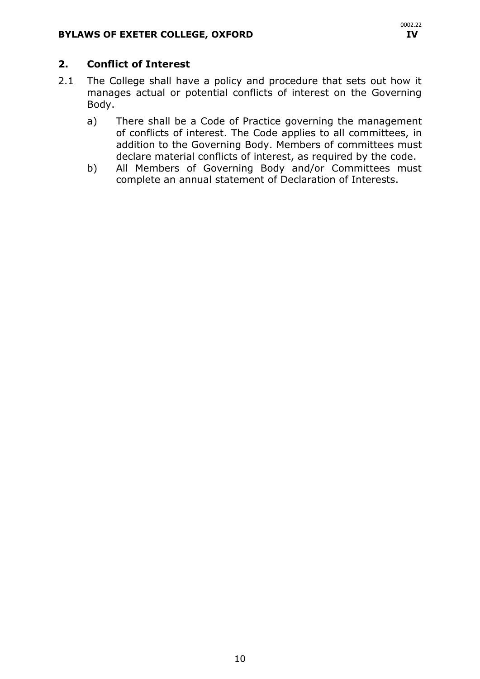### <span id="page-11-0"></span>**2. Conflict of Interest**

- 2.1 The College shall have a policy and procedure that sets out how it manages actual or potential conflicts of interest on the Governing Body.
	- a) There shall be a Code of Practice governing the management of conflicts of interest. The Code applies to all committees, in addition to the Governing Body. Members of committees must declare material conflicts of interest, as required by the code.
	- b) All Members of Governing Body and/or Committees must complete an annual statement of Declaration of Interests.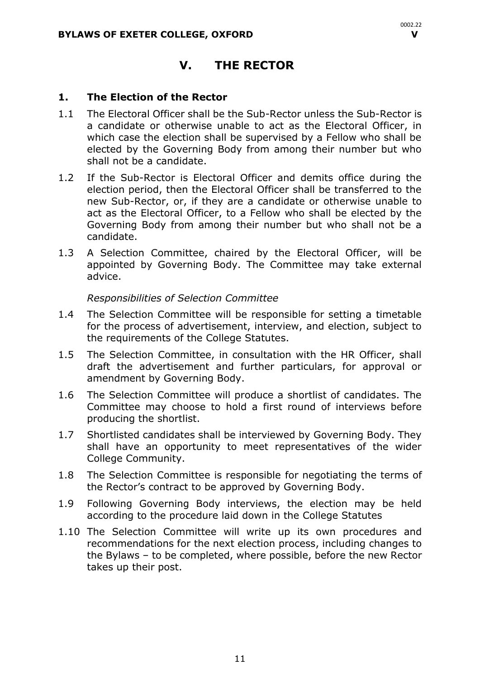## **V. THE RECTOR**

#### <span id="page-12-1"></span><span id="page-12-0"></span>**1. The Election of the Rector**

- 1.1 The Electoral Officer shall be the Sub-Rector unless the Sub-Rector is a candidate or otherwise unable to act as the Electoral Officer, in which case the election shall be supervised by a Fellow who shall be elected by the Governing Body from among their number but who shall not be a candidate.
- 1.2 If the Sub-Rector is Electoral Officer and demits office during the election period, then the Electoral Officer shall be transferred to the new Sub-Rector, or, if they are a candidate or otherwise unable to act as the Electoral Officer, to a Fellow who shall be elected by the Governing Body from among their number but who shall not be a candidate.
- 1.3 A Selection Committee, chaired by the Electoral Officer, will be appointed by Governing Body. The Committee may take external advice.

#### *Responsibilities of Selection Committee*

- 1.4 The Selection Committee will be responsible for setting a timetable for the process of advertisement, interview, and election, subject to the requirements of the College Statutes.
- 1.5 The Selection Committee, in consultation with the HR Officer, shall draft the advertisement and further particulars, for approval or amendment by Governing Body.
- 1.6 The Selection Committee will produce a shortlist of candidates. The Committee may choose to hold a first round of interviews before producing the shortlist.
- 1.7 Shortlisted candidates shall be interviewed by Governing Body. They shall have an opportunity to meet representatives of the wider College Community.
- 1.8 The Selection Committee is responsible for negotiating the terms of the Rector's contract to be approved by Governing Body.
- 1.9 Following Governing Body interviews, the election may be held according to the procedure laid down in the College Statutes
- 1.10 The Selection Committee will write up its own procedures and recommendations for the next election process, including changes to the Bylaws – to be completed, where possible, before the new Rector takes up their post.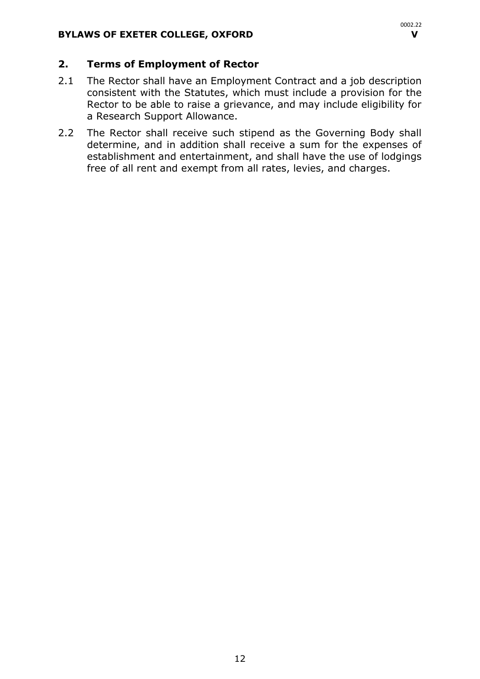- <span id="page-13-0"></span>2.1 The Rector shall have an Employment Contract and a job description consistent with the Statutes, which must include a provision for the Rector to be able to raise a grievance, and may include eligibility for a Research Support Allowance.
- 2.2 The Rector shall receive such stipend as the Governing Body shall determine, and in addition shall receive a sum for the expenses of establishment and entertainment, and shall have the use of lodgings free of all rent and exempt from all rates, levies, and charges.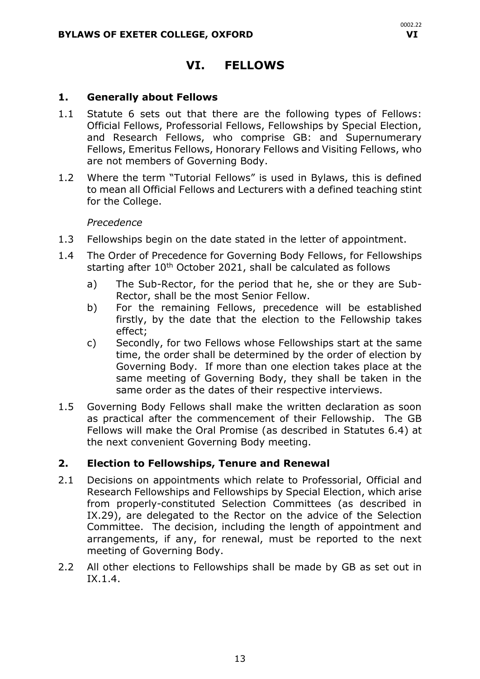## **VI. FELLOWS**

#### <span id="page-14-1"></span><span id="page-14-0"></span>**1. Generally about Fellows**

- 1.1 Statute 6 sets out that there are the following types of Fellows: Official Fellows, Professorial Fellows, Fellowships by Special Election, and Research Fellows, who comprise GB: and Supernumerary Fellows, Emeritus Fellows, Honorary Fellows and Visiting Fellows, who are not members of Governing Body.
- 1.2 Where the term "Tutorial Fellows" is used in Bylaws, this is defined to mean all Official Fellows and Lecturers with a defined teaching stint for the College.

#### *Precedence*

- 1.3 Fellowships begin on the date stated in the letter of appointment.
- 1.4 The Order of Precedence for Governing Body Fellows, for Fellowships starting after 10<sup>th</sup> October 2021, shall be calculated as follows
	- a) The Sub-Rector, for the period that he, she or they are Sub-Rector, shall be the most Senior Fellow.
	- b) For the remaining Fellows, precedence will be established firstly, by the date that the election to the Fellowship takes effect;
	- c) Secondly, for two Fellows whose Fellowships start at the same time, the order shall be determined by the order of election by Governing Body. If more than one election takes place at the same meeting of Governing Body, they shall be taken in the same order as the dates of their respective interviews.
- 1.5 Governing Body Fellows shall make the written declaration as soon as practical after the commencement of their Fellowship. The GB Fellows will make the Oral Promise (as described in Statutes 6.4) at the next convenient Governing Body meeting.

### <span id="page-14-2"></span>**2. Election to Fellowships, Tenure and Renewal**

- <span id="page-14-3"></span>2.1 Decisions on appointments which relate to Professorial, Official and Research Fellowships and Fellowships by Special Election, which arise from properly-constituted Selection Committees (as described in [IX.29\)](#page-65-4), are delegated to the Rector on the advice of the Selection Committee. The decision, including the length of appointment and arrangements, if any, for renewal, must be reported to the next meeting of Governing Body.
- 2.2 All other elections to Fellowships shall be made by GB as set out in [IX.1.4.](#page-48-2)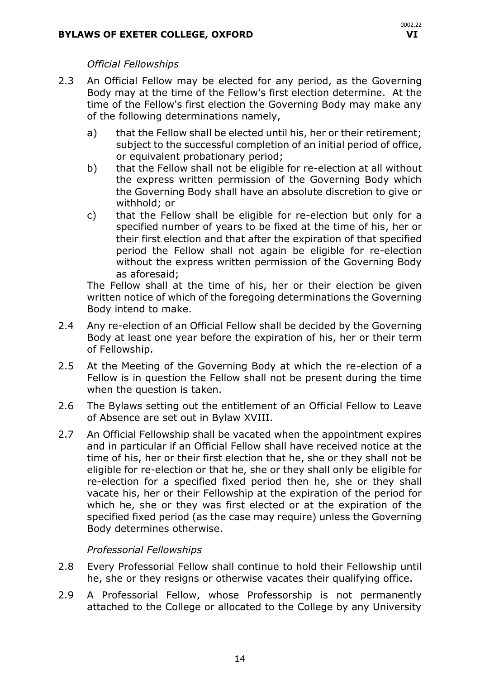### *Official Fellowships*

- 2.3 An Official Fellow may be elected for any period, as the Governing Body may at the time of the Fellow's first election determine. At the time of the Fellow's first election the Governing Body may make any of the following determinations namely,
	- a) that the Fellow shall be elected until his, her or their retirement; subject to the successful completion of an initial period of office, or equivalent probationary period;
	- b) that the Fellow shall not be eligible for re-election at all without the express written permission of the Governing Body which the Governing Body shall have an absolute discretion to give or withhold; or
	- c) that the Fellow shall be eligible for re-election but only for a specified number of years to be fixed at the time of his, her or their first election and that after the expiration of that specified period the Fellow shall not again be eligible for re-election without the express written permission of the Governing Body as aforesaid;

The Fellow shall at the time of his, her or their election be given written notice of which of the foregoing determinations the Governing Body intend to make.

- 2.4 Any re-election of an Official Fellow shall be decided by the Governing Body at least one year before the expiration of his, her or their term of Fellowship.
- 2.5 At the Meeting of the Governing Body at which the re-election of a Fellow is in question the Fellow shall not be present during the time when the question is taken.
- 2.6 The Bylaws setting out the entitlement of an Official Fellow to Leave of Absence are set out in Bylaw [XVIII.](#page-86-0)
- 2.7 An Official Fellowship shall be vacated when the appointment expires and in particular if an Official Fellow shall have received notice at the time of his, her or their first election that he, she or they shall not be eligible for re-election or that he, she or they shall only be eligible for re-election for a specified fixed period then he, she or they shall vacate his, her or their Fellowship at the expiration of the period for which he, she or they was first elected or at the expiration of the specified fixed period (as the case may require) unless the Governing Body determines otherwise.

### *Professorial Fellowships*

- 2.8 Every Professorial Fellow shall continue to hold their Fellowship until he, she or they resigns or otherwise vacates their qualifying office.
- 2.9 A Professorial Fellow, whose Professorship is not permanently attached to the College or allocated to the College by any University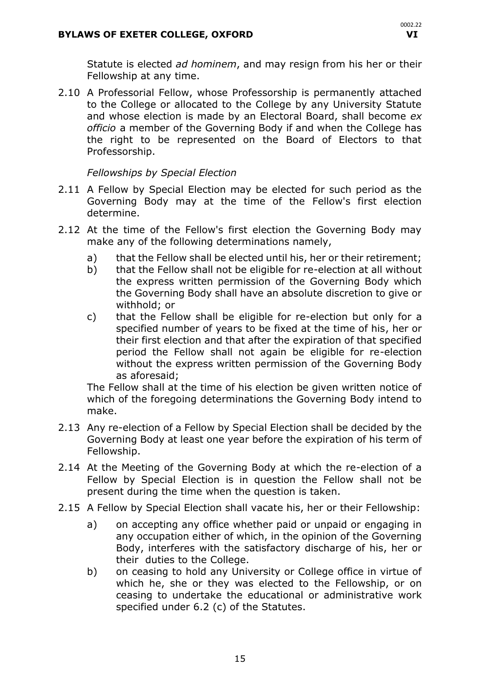Statute is elected *ad hominem*, and may resign from his her or their Fellowship at any time.

2.10 A Professorial Fellow, whose Professorship is permanently attached to the College or allocated to the College by any University Statute and whose election is made by an Electoral Board, shall become *ex officio* a member of the Governing Body if and when the College has the right to be represented on the Board of Electors to that Professorship.

## *Fellowships by Special Election*

- 2.11 A Fellow by Special Election may be elected for such period as the Governing Body may at the time of the Fellow's first election determine.
- 2.12 At the time of the Fellow's first election the Governing Body may make any of the following determinations namely,
	- a) that the Fellow shall be elected until his, her or their retirement;
	- b) that the Fellow shall not be eligible for re-election at all without the express written permission of the Governing Body which the Governing Body shall have an absolute discretion to give or withhold; or
	- c) that the Fellow shall be eligible for re-election but only for a specified number of years to be fixed at the time of his, her or their first election and that after the expiration of that specified period the Fellow shall not again be eligible for re-election without the express written permission of the Governing Body as aforesaid;

The Fellow shall at the time of his election be given written notice of which of the foregoing determinations the Governing Body intend to make.

- 2.13 Any re-election of a Fellow by Special Election shall be decided by the Governing Body at least one year before the expiration of his term of Fellowship.
- 2.14 At the Meeting of the Governing Body at which the re-election of a Fellow by Special Election is in question the Fellow shall not be present during the time when the question is taken.
- 2.15 A Fellow by Special Election shall vacate his, her or their Fellowship:
	- a) on accepting any office whether paid or unpaid or engaging in any occupation either of which, in the opinion of the Governing Body, interferes with the satisfactory discharge of his, her or their duties to the College.
	- b) on ceasing to hold any University or College office in virtue of which he, she or they was elected to the Fellowship, or on ceasing to undertake the educational or administrative work specified under 6.2 (c) of the Statutes.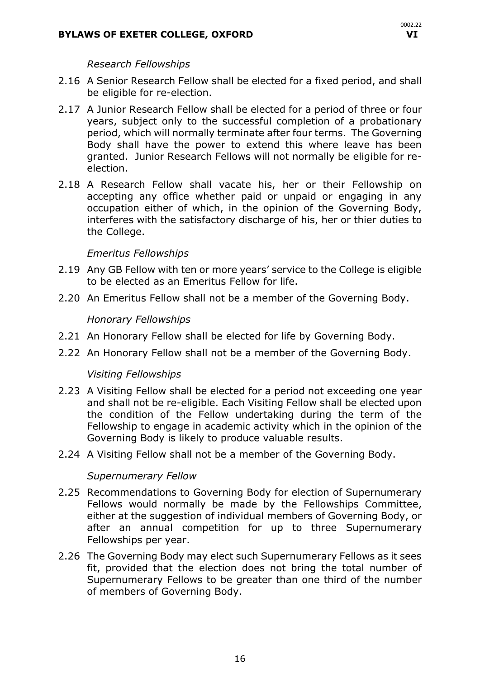### *Research Fellowships*

- 2.16 A Senior Research Fellow shall be elected for a fixed period, and shall be eligible for re-election.
- 2.17 A Junior Research Fellow shall be elected for a period of three or four years, subject only to the successful completion of a probationary period, which will normally terminate after four terms. The Governing Body shall have the power to extend this where leave has been granted. Junior Research Fellows will not normally be eligible for reelection.
- 2.18 A Research Fellow shall vacate his, her or their Fellowship on accepting any office whether paid or unpaid or engaging in any occupation either of which, in the opinion of the Governing Body, interferes with the satisfactory discharge of his, her or thier duties to the College.

### *Emeritus Fellowships*

- 2.19 Any GB Fellow with ten or more years' service to the College is eligible to be elected as an Emeritus Fellow for life.
- 2.20 An Emeritus Fellow shall not be a member of the Governing Body.

### *Honorary Fellowships*

- 2.21 An Honorary Fellow shall be elected for life by Governing Body.
- 2.22 An Honorary Fellow shall not be a member of the Governing Body.

## *Visiting Fellowships*

- 2.23 A Visiting Fellow shall be elected for a period not exceeding one year and shall not be re-eligible. Each Visiting Fellow shall be elected upon the condition of the Fellow undertaking during the term of the Fellowship to engage in academic activity which in the opinion of the Governing Body is likely to produce valuable results.
- 2.24 A Visiting Fellow shall not be a member of the Governing Body.

### *Supernumerary Fellow*

- 2.25 Recommendations to Governing Body for election of Supernumerary Fellows would normally be made by the Fellowships Committee, either at the suggestion of individual members of Governing Body, or after an annual competition for up to three Supernumerary Fellowships per year.
- 2.26 The Governing Body may elect such Supernumerary Fellows as it sees fit, provided that the election does not bring the total number of Supernumerary Fellows to be greater than one third of the number of members of Governing Body.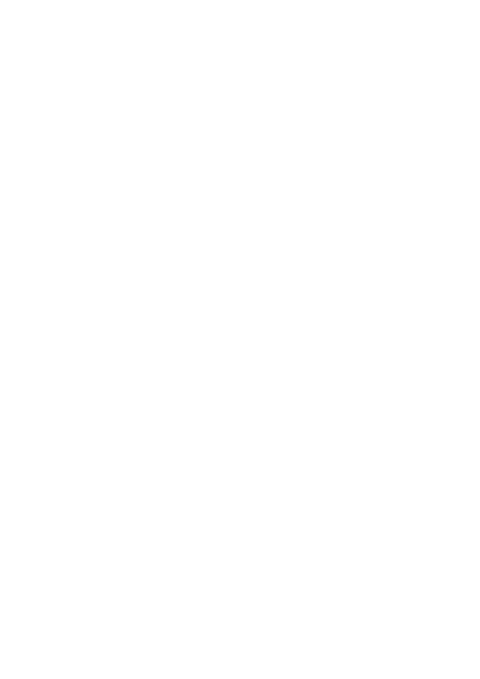|       | <b>Table of Contents</b> |                                                                                                            |  |
|-------|--------------------------|------------------------------------------------------------------------------------------------------------|--|
|       |                          |                                                                                                            |  |
| I.    |                          |                                                                                                            |  |
| II.   |                          |                                                                                                            |  |
| III.  |                          |                                                                                                            |  |
| IV.   |                          |                                                                                                            |  |
|       | 1.<br>2.                 |                                                                                                            |  |
| V.    |                          |                                                                                                            |  |
|       | 1.<br>2.                 |                                                                                                            |  |
| VI.   |                          |                                                                                                            |  |
|       | 1.                       |                                                                                                            |  |
|       | 2.<br>3.                 | Election to Fellowships, Tenure and Renewal  13<br>Rights, Responsibilities and Benefits of Fellowships 17 |  |
|       |                          |                                                                                                            |  |
| VII.  | 1.                       |                                                                                                            |  |
|       | 2.                       |                                                                                                            |  |
|       | 3.                       |                                                                                                            |  |
|       | 4.                       |                                                                                                            |  |
|       | 5.                       |                                                                                                            |  |
|       | 6.                       |                                                                                                            |  |
|       | 7.<br>8.                 |                                                                                                            |  |
|       | 9.                       |                                                                                                            |  |
|       | 10.                      |                                                                                                            |  |
|       | 11.                      |                                                                                                            |  |
|       | 12.                      |                                                                                                            |  |
|       | 13.                      |                                                                                                            |  |
|       | 14.<br>15.               |                                                                                                            |  |
|       | 16.                      | The Senior Treasurer of Amalgamated Clubs 25                                                               |  |
|       | 17.                      |                                                                                                            |  |
|       | 18.                      |                                                                                                            |  |
|       | 19.                      | Stipendiary and Retained Lecturers Lecturers  25                                                           |  |
| VIII. | Students                 |                                                                                                            |  |
|       | 1.                       |                                                                                                            |  |
|       | 2.                       |                                                                                                            |  |
|       | 3.<br>4.                 | COLLEGE DISCIPLINE: Non-Academic Misconduct  27                                                            |  |
|       | 5.                       |                                                                                                            |  |
|       | 6.                       |                                                                                                            |  |
|       | 7.                       |                                                                                                            |  |
| IX.   |                          |                                                                                                            |  |
|       | 1.                       |                                                                                                            |  |
|       | 2.                       | Decisions of the Governing Body between Meetings 48                                                        |  |
|       | 3.                       |                                                                                                            |  |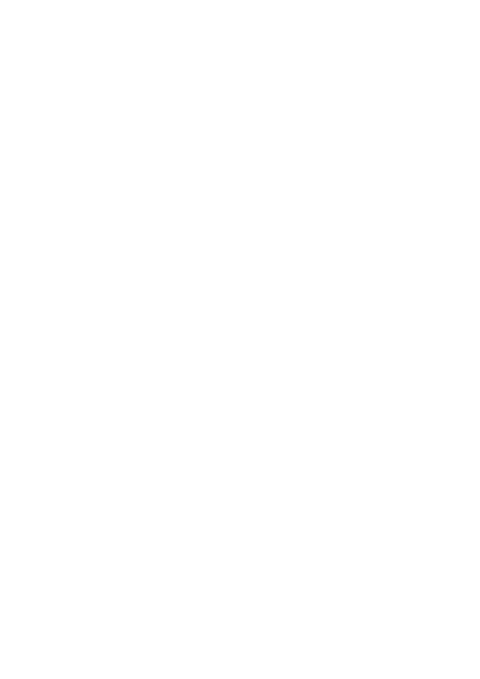# **BYLAWS OF EXETER COLLEGE, OXFORD**

| M<br>ı. |  |
|---------|--|
|---------|--|

|       | 1.  | V                                                     |  |
|-------|-----|-------------------------------------------------------|--|
|       | 2.  |                                                       |  |
|       | 3.  |                                                       |  |
|       | 4.  | Attendance at Meetings of the Governing Body  88      |  |
|       | 5.  |                                                       |  |
|       | 6.  |                                                       |  |
|       | 7.  |                                                       |  |
|       | 8.  |                                                       |  |
|       | 9.  |                                                       |  |
|       | 10. |                                                       |  |
|       | 11. |                                                       |  |
|       | 12. |                                                       |  |
|       | 13. |                                                       |  |
| XIX.  |     |                                                       |  |
|       | 1.  |                                                       |  |
|       | 2.  | Stage 2 ± Redundancy Procedure: Initial Stage 97      |  |
|       | 3.  |                                                       |  |
|       |     |                                                       |  |
| XX.   |     |                                                       |  |
|       | 1.  |                                                       |  |
|       | 2.  |                                                       |  |
|       | 3.  |                                                       |  |
| XXI.  |     |                                                       |  |
|       | 1.  |                                                       |  |
|       | 2.  |                                                       |  |
|       |     |                                                       |  |
|       | 3.  |                                                       |  |
|       | 4.  | Procedures for a Medical Board Hearing  108           |  |
|       |     |                                                       |  |
| XXII. |     |                                                       |  |
|       |     |                                                       |  |
|       | 1.  |                                                       |  |
|       | 2.  |                                                       |  |
|       | 3.  |                                                       |  |
|       | 4.  |                                                       |  |
| XXIV. |     |                                                       |  |
|       | 1.  |                                                       |  |
|       | 2.  |                                                       |  |
|       | 3.  |                                                       |  |
|       | 4.  |                                                       |  |
|       | 5.  |                                                       |  |
|       | 6.  | Consideration of requests to work beyond the EJRA 118 |  |
|       | 7.  |                                                       |  |
|       | 8.  | Formal Process: Submission and Consideration  121     |  |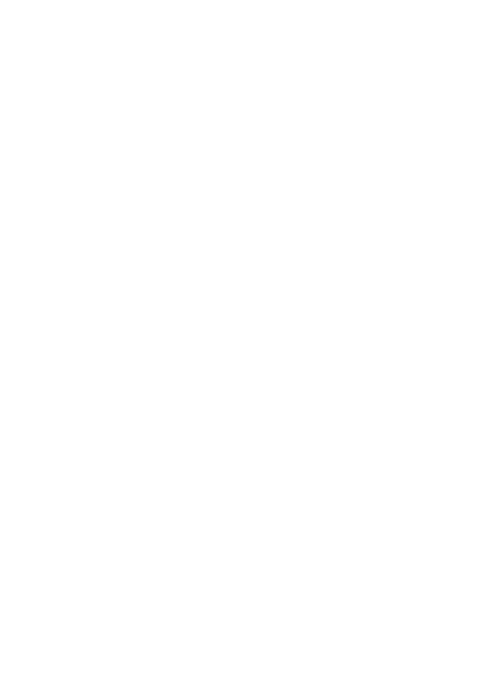- $a)$ Governance
	- Authorise the use of Seal.  $(i)$
- $b)$ Appointments
	- Elect the Rector;  $(i)$
	- $(ii)$ Elect Fellows of all types; (except as provided in VI.2.1)
	- $(iii)$ Consider and decide on any proposal to remunerate a trustee, subject to the restrictions of the CollegeV governing document and the reguirements of the Charities Acts.
- $\mathsf{C}$ ) Strategic and Budgetary matters
	- Responsibility for the overall management of the College,  $(i)$ ensuring compliance with the College relevant legislation:
	- Define and agree the strategic aims and objectives of the  $(ii)$ College:
	- $(iii)$ Approve/amend proposals for the delivery/ cessation of delivery of programmes to further the charitable objects or changes to the College
	- Apply charitable property to the furtherance of the  $(iv)$ College **WAS**

Seek, obtain and consider professional advice;

- Approve/amend proposals for capital investment or  $(v)$ expenditure, including the spending of capital from an endowment fund and making social investments. Seeking, obtaining and considering professional advice;
- $(vi)$ Approve annual budget:
- (vii) Authorise delegated powers and limitations to the Rector and other College Officers where appropriate:
- (viii) Major decisions relating to court proceedings against or on behalf of the College.
- $d)$ Audit arrangements
	- Receive and note the annual management letter from the  $(i)$ external auditor and agree the proposed course of action,.
- Reporting arrangements  $e)$ 
	- Receive the College  $), and$  $(i)$ that of any subsidiary companies.
	- Approve the filing of the annual report, accounts with the  $(ii)$ appropriate regulator(s.
	- Ensure that appropriate financial reporting arrangements  $(iii)$ and records are established and maintained and approve any significant changes in accounting policies or practices.
- $1.3$ The arrangements for decisions on items when the Governing Body cannot meet are set out in Bylaw IX.2.2.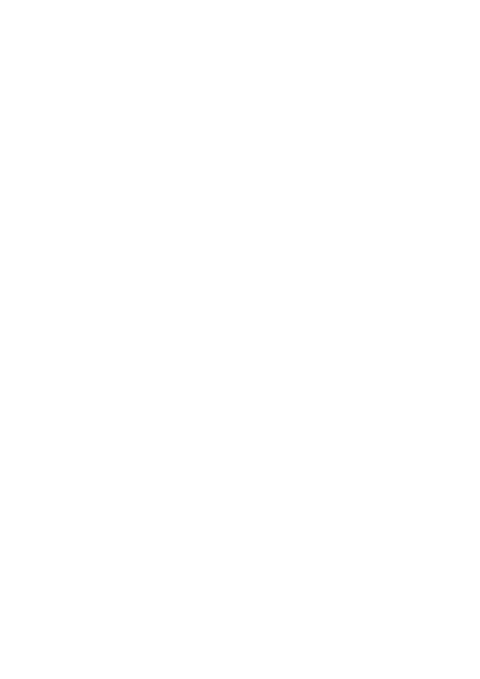### 衙

- $2.3$ An Official Fellow may be elected for any period, as the Governing Body may at the time of the Fellow's first election determine. At the time of the Fellow's first election the Governing Body may make any of the following determinations namely,
	- $a)$ that the Fellow shall be elected until his, her or their retirement; subject to the successful completion of an initial period of office, or equivalent probationary period;
	- that the Fellow shall not be eligible for re-election at all without  $b)$ the express written permission of the Governing Body which the Governing Body shall have an absolute discretion to give or withhold; or
	- that the Fellow shall be eligible for re-election but only for a  $\mathsf{C}$ specified number of years to be fixed at the time of his, her or their first election and that after the expiration of that specified period the Fellow shall not again be eligible for re-election without the express written permission of the Governing Body as aforesaid:

The Fellow shall at the time of his, her or their election be given written notice of which of the foregoing determinations the Governing Body intend to make.

- $2.4$ Any re-election of an Official Fellow shall be decided by the Governing Body at least one year before the expiration of his, her or their term of Fellowship.
- $2.5$ At the Meeting of the Governing Body at which the re-election of a Fellow is in question the Fellow shall not be present during the time when the question is taken.
- $2.6$ The Bylaws setting out the entitlement of an Official Fellow to Leave of Absence are set out in Bylaw XVIII.
- $2.7$ An Official Fellowship shall be vacated when the appointment expires and in particular if an Official Fellow shall have received notice at the time of his, her or their first election that he, she or they shall not be eligible for re-election or that he, she or they shall only be eligible for re-election for a specified fixed period then he, she or they shall vacate his, her or their Fellowship at the expiration of the period for which he, she or they was first elected or at the expiration of the specified fixed period (as the case may require) unless the Governing Body determines otherwise.

## 衝

- $2.8$ Every Professorial Fellow shall continue to hold their Fellowship until he, she or they resigns or otherwise vacates their qualifying office.
- $2.9$ A Professorial Fellow, whose Professorship is not permanently attached to the College or allocated to the College by any University